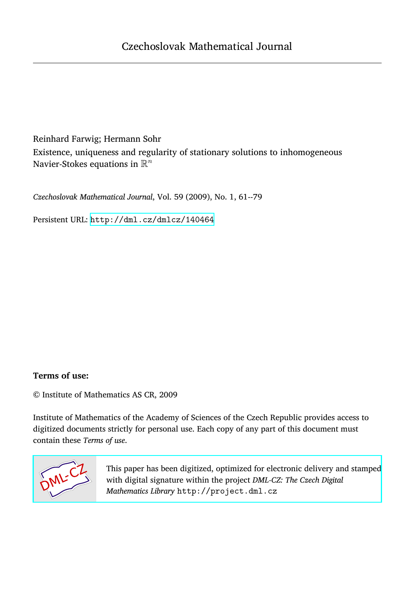Reinhard Farwig; Hermann Sohr Existence, uniqueness and regularity of stationary solutions to inhomogeneous Navier-Stokes equations in  $\mathbb{R}^n$ 

*Czechoslovak Mathematical Journal*, Vol. 59 (2009), No. 1, 61--79

Persistent URL: <http://dml.cz/dmlcz/140464>

## **Terms of use:**

© Institute of Mathematics AS CR, 2009

Institute of Mathematics of the Academy of Sciences of the Czech Republic provides access to digitized documents strictly for personal use. Each copy of any part of this document must contain these *Terms of use*.



[This paper has been digitized, optimized for electronic delivery and stamped](http://project.dml.cz) with digital signature within the project *DML-CZ: The Czech Digital Mathematics Library* http://project.dml.cz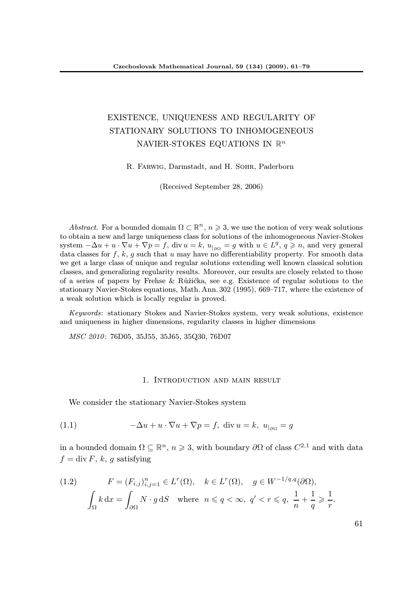# EXISTENCE, UNIQUENESS AND REGULARITY OF STATIONARY SOLUTIONS TO INHOMOGENEOUS NAVIER-STOKES EQUATIONS IN  $\mathbb{R}^n$

R. Farwig, Darmstadt, and H. Sohr, Paderborn

(Received September 28, 2006)

Abstract. For a bounded domain  $\Omega \subset \mathbb{R}^n$ ,  $n \geqslant 3$ , we use the notion of very weak solutions to obtain a new and large uniqueness class for solutions of the inhomogeneous Navier-Stokes system  $-\Delta u + u \cdot \nabla u + \nabla p = f$ , div  $u = k$ ,  $u_{|_{\partial\Omega}} = g$  with  $u \in L^q$ ,  $q \geq n$ , and very general data classes for f, k, g such that u may have no differentiability property. For smooth data we get a large class of unique and regular solutions extending well known classical solution classes, and generalizing regularity results. Moreover, our results are closely related to those of a series of papers by Frehse & Růžička, see e.g. Existence of regular solutions to the stationary Navier-Stokes equations, Math. Ann. 302 (1995), 669–717, where the existence of a weak solution which is locally regular is proved.

Keywords: stationary Stokes and Navier-Stokes system, very weak solutions, existence and uniqueness in higher dimensions, regularity classes in higher dimensions

MSC 2010: 76D05, 35J55, 35J65, 35Q30, 76D07

#### 1. Introduction and main result

We consider the stationary Navier-Stokes system

(1.1) 
$$
-\Delta u + u \cdot \nabla u + \nabla p = f, \text{ div } u = k, \ u_{|\partial \Omega} = g
$$

in a bounded domain  $\Omega \subseteq \mathbb{R}^n$ ,  $n \geqslant 3$ , with boundary  $\partial \Omega$  of class  $C^{2,1}$  and with data  $f = \text{div } F$ , k, g satisfying

(1.2) 
$$
F = (F_{i,j})_{i,j=1}^n \in L^r(\Omega), \quad k \in L^r(\Omega), \quad g \in W^{-1/q,q}(\partial \Omega),
$$

$$
\int_{\Omega} k \, dx = \int_{\partial \Omega} N \cdot g \, dS \quad \text{where} \quad n \le q < \infty, \ q' < r \le q, \ \frac{1}{n} + \frac{1}{q} \ge \frac{1}{r}.
$$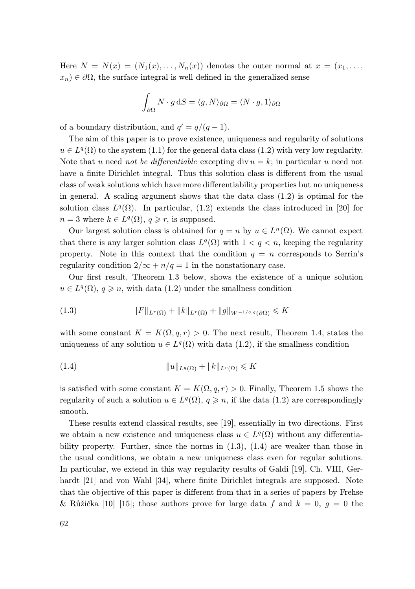Here  $N = N(x) = (N_1(x), \ldots, N_n(x))$  denotes the outer normal at  $x = (x_1, \ldots, x_n)$  $x_n$ ) ∈  $\partial\Omega$ , the surface integral is well defined in the generalized sense

$$
\int_{\partial\Omega} N \cdot g \, \mathrm{d}S = \langle g, N \rangle_{\partial\Omega} = \langle N \cdot g, 1 \rangle_{\partial\Omega}
$$

of a boundary distribution, and  $q' = q/(q-1)$ .

The aim of this paper is to prove existence, uniqueness and regularity of solutions  $u \in L<sup>q</sup>(\Omega)$  to the system (1.1) for the general data class (1.2) with very low regularity. Note that u need not be differentiable excepting div  $u = k$ ; in particular u need not have a finite Dirichlet integral. Thus this solution class is different from the usual class of weak solutions which have more differentiability properties but no uniqueness in general. A scaling argument shows that the data class (1.2) is optimal for the solution class  $L^q(\Omega)$ . In particular, (1.2) extends the class introduced in [20] for  $n=3$  where  $k \in L^q(\Omega)$ ,  $q \geq r$ , is supposed.

Our largest solution class is obtained for  $q = n$  by  $u \in L^{n}(\Omega)$ . We cannot expect that there is any larger solution class  $L^q(\Omega)$  with  $1 < q < n$ , keeping the regularity property. Note in this context that the condition  $q = n$  corresponds to Serrin's regularity condition  $2/\infty + n/q = 1$  in the nonstationary case.

Our first result, Theorem 1.3 below, shows the existence of a unique solution  $u \in L^q(\Omega)$ ,  $q \geq n$ , with data (1.2) under the smallness condition

(1.3) 
$$
||F||_{L^r(\Omega)} + ||k||_{L^r(\Omega)} + ||g||_{W^{-1/q,q}(\partial\Omega)} \le K
$$

with some constant  $K = K(\Omega, q, r) > 0$ . The next result, Theorem 1.4, states the uniqueness of any solution  $u \in L^q(\Omega)$  with data (1.2), if the smallness condition

(1.4) kukLq(Ω) + kkkLr(Ω) 6 K

is satisfied with some constant  $K = K(\Omega, q, r) > 0$ . Finally, Theorem 1.5 shows the regularity of such a solution  $u \in L^q(\Omega)$ ,  $q \geq n$ , if the data (1.2) are correspondingly smooth.

These results extend classical results, see [19], essentially in two directions. First we obtain a new existence and uniqueness class  $u \in L^q(\Omega)$  without any differentiability property. Further, since the norms in  $(1.3)$ ,  $(1.4)$  are weaker than those in the usual conditions, we obtain a new uniqueness class even for regular solutions. In particular, we extend in this way regularity results of Galdi [19], Ch. VIII, Gerhardt [21] and von Wahl [34], where finite Dirichlet integrals are supposed. Note that the objective of this paper is different from that in a series of papers by Frehse & Růžička [10]–[15]; those authors prove for large data f and  $k = 0, g = 0$  the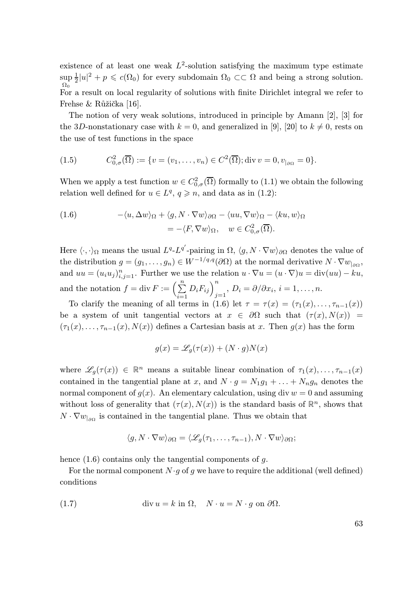existence of at least one weak  $L^2$ -solution satisfying the maximum type estimate  $\sup_{\Omega_0}$  $\frac{1}{2}|u|^2 + p \leq c(\Omega_0)$  for every subdomain  $\Omega_0 \subset\subset \Omega$  and being a strong solution. For a result on local regularity of solutions with finite Dirichlet integral we refer to Frehse & Růžička [16].

The notion of very weak solutions, introduced in principle by Amann [2], [3] for the 3D-nonstationary case with  $k = 0$ , and generalized in [9], [20] to  $k \neq 0$ , rests on the use of test functions in the space

(1.5) 
$$
C_{0,\sigma}^{2}(\overline{\Omega}) := \{v = (v_1,\ldots,v_n) \in C^2(\overline{\Omega}); \text{div } v = 0, v_{|\partial\Omega} = 0\}.
$$

When we apply a test function  $w \in C^2_{0,\sigma}(\overline{\Omega})$  formally to (1.1) we obtain the following relation well defined for  $u \in L^q$ ,  $q \geq n$ , and data as in (1.2):

(1.6) 
$$
-\langle u, \Delta w \rangle_{\Omega} + \langle g, N \cdot \nabla w \rangle_{\partial \Omega} - \langle uu, \nabla w \rangle_{\Omega} - \langle ku, w \rangle_{\Omega} = -\langle F, \nabla w \rangle_{\Omega}, \quad w \in C^2_{0,\sigma}(\overline{\Omega}).
$$

Here  $\langle \cdot, \cdot \rangle_{\Omega}$  means the usual  $L^q L^{q'}$ -pairing in  $\Omega$ ,  $\langle g, N \cdot \nabla w \rangle_{\partial \Omega}$  denotes the value of the distribution  $g = (g_1, \ldots, g_n) \in W^{-1/q, q}(\partial \Omega)$  at the normal derivative  $N \cdot \nabla w_{|\partial \Omega}$ , and  $uu = (u_i u_j)_{i,j=1}^n$ . Further we use the relation  $u \cdot \nabla u = (u \cdot \nabla)u = \text{div}(uu) - ku$ , and the notation  $f = \text{div } F := \left(\sum_{n=1}^{n} a_n\right)^n$  $\sum_{i=1}^{n} D_i F_{ij} \bigg)_{j=1}^{n}, D_i = \partial / \partial x_i, i = 1, \dots, n.$ 

To clarify the meaning of all terms in (1.6) let  $\tau = \tau(x) = (\tau_1(x), \ldots, \tau_{n-1}(x))$ be a system of unit tangential vectors at  $x \in \partial\Omega$  such that  $(\tau(x), N(x)) =$  $(\tau_1(x), \ldots, \tau_{n-1}(x), N(x))$  defines a Cartesian basis at x. Then  $g(x)$  has the form

$$
g(x) = \mathcal{L}_g(\tau(x)) + (N \cdot g)N(x)
$$

where  $\mathscr{L}_g(\tau(x)) \in \mathbb{R}^n$  means a suitable linear combination of  $\tau_1(x), \ldots, \tau_{n-1}(x)$ contained in the tangential plane at x, and  $N \cdot g = N_1 g_1 + \ldots + N_n g_n$  denotes the normal component of  $g(x)$ . An elementary calculation, using div  $w = 0$  and assuming without loss of generality that  $(\tau(x), N(x))$  is the standard basis of  $\mathbb{R}^n$ , shows that  $N \cdot \nabla w_{|\partial \Omega}$  is contained in the tangential plane. Thus we obtain that

$$
\langle g, N \cdot \nabla w \rangle_{\partial \Omega} = \langle \mathcal{L}_g(\tau_1, \dots, \tau_{n-1}), N \cdot \nabla w \rangle_{\partial \Omega};
$$

hence  $(1.6)$  contains only the tangential components of g.

For the normal component  $N \cdot g$  of g we have to require the additional (well defined) conditions

(1.7) 
$$
\operatorname{div} u = k \text{ in } \Omega, \quad N \cdot u = N \cdot g \text{ on } \partial \Omega.
$$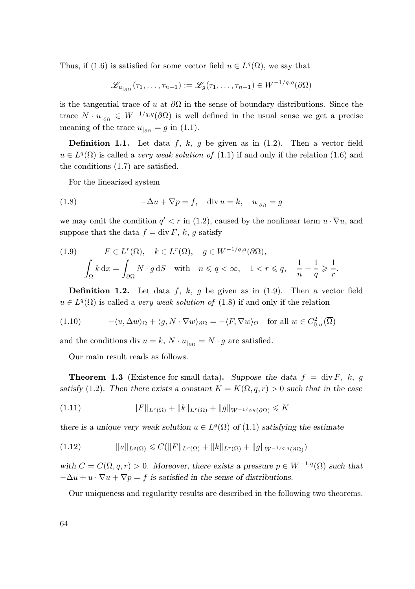Thus, if (1.6) is satisfied for some vector field  $u \in L^q(\Omega)$ , we say that

$$
\mathcal{L}_{u_{\vert_{\partial\Omega}}}(\tau_1,\ldots,\tau_{n-1}) := \mathcal{L}_g(\tau_1,\ldots,\tau_{n-1}) \in W^{-1/q,q}(\partial\Omega)
$$

is the tangential trace of u at  $\partial\Omega$  in the sense of boundary distributions. Since the trace  $N \cdot u_{|_{\partial\Omega}} \in W^{-1/q,q}(\partial\Omega)$  is well defined in the usual sense we get a precise meaning of the trace  $u_{|_{\partial\Omega}} = g$  in (1.1).

**Definition 1.1.** Let data f, k, g be given as in  $(1.2)$ . Then a vector field  $u \in L^{q}(\Omega)$  is called a *very weak solution of* (1.1) if and only if the relation (1.6) and the conditions (1.7) are satisfied.

For the linearized system

(1.8) 
$$
-\Delta u + \nabla p = f, \quad \text{div } u = k, \quad u_{|_{\partial\Omega}} = g
$$

we may omit the condition  $q' < r$  in (1.2), caused by the nonlinear term  $u \cdot \nabla u$ , and suppose that the data  $f = \text{div } F$ , k, q satisfy

(1.9) 
$$
F \in L^{r}(\Omega), \quad k \in L^{r}(\Omega), \quad g \in W^{-1/q,q}(\partial \Omega),
$$

$$
\int_{\Omega} k \, dx = \int_{\partial \Omega} N \cdot g \, dS \quad \text{with} \quad n \leqslant q < \infty, \quad 1 < r \leqslant q, \quad \frac{1}{n} + \frac{1}{q} \geqslant \frac{1}{r}.
$$

**Definition 1.2.** Let data f, k, g be given as in  $(1.9)$ . Then a vector field  $u \in L^q(\Omega)$  is called a very weak solution of (1.8) if and only if the relation

(1.10) 
$$
-\langle u, \Delta w \rangle_{\Omega} + \langle g, N \cdot \nabla w \rangle_{\partial \Omega} = -\langle F, \nabla w \rangle_{\Omega} \text{ for all } w \in C_{0,\sigma}^2(\overline{\Omega})
$$

and the conditions div  $u = k$ ,  $N \cdot u_{|_{\partial\Omega}} = N \cdot g$  are satisfied.

Our main result reads as follows.

**Theorem 1.3** (Existence for small data). Suppose the data  $f = \text{div } F$ , k, g satisfy (1.2). Then there exists a constant  $K = K(\Omega, q, r) > 0$  such that in the case

(1.11) 
$$
||F||_{L^{r}(\Omega)} + ||k||_{L^{r}(\Omega)} + ||g||_{W^{-1/q,q}(\partial\Omega)} \le K
$$

there is a unique very weak solution  $u \in L^q(\Omega)$  of  $(1.1)$  satisfying the estimate

$$
(1.12) \t\t ||u||_{L^{q}(\Omega)} \leq C(||F||_{L^{r}(\Omega)} + ||k||_{L^{r}(\Omega)} + ||g||_{W^{-1/q,q}(\partial\Omega)})
$$

with  $C = C(\Omega, q, r) > 0$ . Moreover, there exists a pressure  $p \in W^{-1,q}(\Omega)$  such that  $-\Delta u + u \cdot \nabla u + \nabla p = f$  is satisfied in the sense of distributions.

Our uniqueness and regularity results are described in the following two theorems.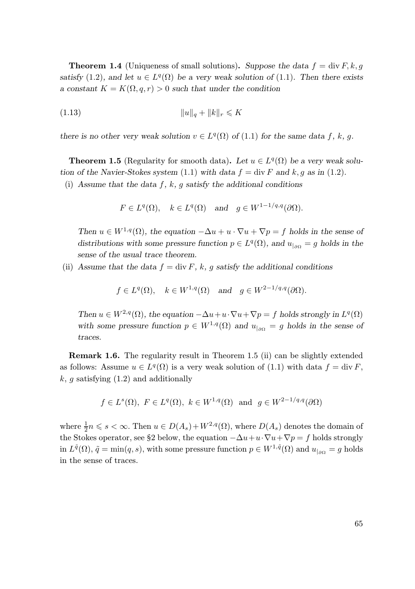**Theorem 1.4** (Uniqueness of small solutions). Suppose the data  $f = \text{div } F, k, q$ satisfy (1.2), and let  $u \in L^q(\Omega)$  be a very weak solution of (1.1). Then there exists a constant  $K = K(\Omega, q, r) > 0$  such that under the condition

(1.13) 
$$
||u||_q + ||k||_r \leq K
$$

there is no other very weak solution  $v \in L^q(\Omega)$  of (1.1) for the same data f, k, g.

**Theorem 1.5** (Regularity for smooth data). Let  $u \in L^q(\Omega)$  be a very weak solution of the Navier-Stokes system (1.1) with data  $f = \text{div } F$  and k, g as in (1.2).

(i) Assume that the data f, k, q satisfy the additional conditions

$$
F \in L^q(\Omega)
$$
,  $k \in L^q(\Omega)$  and  $g \in W^{1-1/q,q}(\partial \Omega)$ .

Then  $u \in W^{1,q}(\Omega)$ , the equation  $-\Delta u + u \cdot \nabla u + \nabla p = f$  holds in the sense of distributions with some pressure function  $p \in L^q(\Omega)$ , and  $u_{|_{\partial\Omega}} = g$  holds in the sense of the usual trace theorem.

(ii) Assume that the data  $f = \text{div } F$ , k, g satisfy the additional conditions

$$
f \in L^q(\Omega)
$$
,  $k \in W^{1,q}(\Omega)$  and  $g \in W^{2-1/q,q}(\partial\Omega)$ .

Then  $u \in W^{2,q}(\Omega)$ , the equation  $-\Delta u + u \cdot \nabla u + \nabla p = f$  holds strongly in  $L^q(\Omega)$ with some pressure function  $p \in W^{1,q}(\Omega)$  and  $u_{|\partial\Omega} = g$  holds in the sense of traces.

Remark 1.6. The regularity result in Theorem 1.5 (ii) can be slightly extended as follows: Assume  $u \in L^q(\Omega)$  is a very weak solution of (1.1) with data  $f = \text{div } F$ ,  $k, g$  satisfying  $(1.2)$  and additionally

$$
f \in L^s(\Omega)
$$
,  $F \in L^q(\Omega)$ ,  $k \in W^{1,q}(\Omega)$  and  $g \in W^{2-1/q,q}(\partial \Omega)$ 

where  $\frac{1}{2}n \leq s < \infty$ . Then  $u \in D(A_s) + W^{2,q}(\Omega)$ , where  $D(A_s)$  denotes the domain of the Stokes operator, see §2 below, the equation  $-\Delta u+u\cdot\nabla u+\nabla p=f$  holds strongly in  $L^{\tilde{q}}(\Omega)$ ,  $\tilde{q} = \min(q, s)$ , with some pressure function  $p \in W^{1,\tilde{q}}(\Omega)$  and  $u_{|_{\partial\Omega}} = g$  holds in the sense of traces.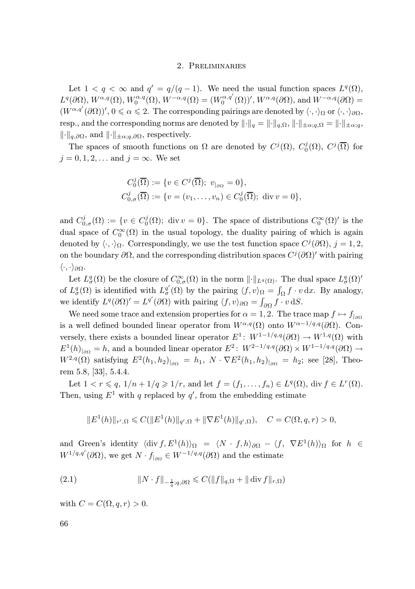### 2. Preliminaries

Let  $1 < q < \infty$  and  $q' = q/(q-1)$ . We need the usual function spaces  $L^q(\Omega)$ ,  $L^q(\partial\Omega),\,W^{\alpha,q}(\Omega),\,W_0^{\alpha,q}(\Omega),\,W^{-\alpha,q}(\Omega)=(W_0^{\alpha,q'}(\Omega))',\,W^{\alpha,q}(\partial\Omega),\,\text{and}\,\,W^{-\alpha,q}(\partial\Omega)=$  $(W^{\alpha,q'}(\partial\Omega))', 0\leqslant \alpha\leqslant 2.$  The corresponding pairings are denoted by  $\langle \cdot, \cdot \rangle_{\Omega}$  or  $\langle \cdot, \cdot \rangle_{\partial\Omega}$ , resp., and the corresponding norms are denoted by  $\|\cdot\|_q = \|\cdot\|_{q,\Omega}, \|\cdot\|_{\pm \alpha;q,\Omega} = \|\cdot\|_{\pm \alpha;q}$  $\|\cdot\|_{q,\partial\Omega}$ , and  $\|\cdot\|_{\pm\alpha;q,\partial\Omega}$ , respectively.

The spaces of smooth functions on  $\Omega$  are denoted by  $C^j(\Omega)$ ,  $C^j_0(\Omega)$ ,  $C^j(\overline{\Omega})$  for  $j = 0, 1, 2, \ldots$  and  $j = \infty$ . We set

$$
C_0^j(\overline{\Omega}) := \{ v \in C^j(\overline{\Omega}); \ v_{|_{\partial\Omega}} = 0 \},
$$
  

$$
C_{0,\sigma}^j(\overline{\Omega}) := \{ v = (v_1, \dots, v_n) \in C_0^j(\overline{\Omega}); \text{ div } v = 0 \},
$$

and  $C_{0,\sigma}^j(\Omega) := \{v \in C_0^j(\Omega) ; \text{ div } v = 0\}.$  The space of distributions  $C_0^{\infty}(\Omega)'$  is the dual space of  $C_0^{\infty}(\Omega)$  in the usual topology, the duality pairing of which is again denoted by  $\langle \cdot, \cdot \rangle_{\Omega}$ . Correspondingly, we use the test function space  $C^{j}(\partial \Omega)$ ,  $j = 1, 2$ , on the boundary  $\partial\Omega$ , and the corresponding distribution spaces  $C^j(\partial\Omega)'$  with pairing  $\langle \cdot, \cdot \rangle_{\partial\Omega}$ .

Let  $L^q_{\sigma}(\Omega)$  be the closure of  $C^{\infty}_{0,\sigma}(\Omega)$  in the norm  $\lVert \cdot \rVert_{L^q(\Omega)}$ . The dual space  $L^q_{\sigma}(\Omega)'$ of  $L^q_{\sigma}(\Omega)$  is identified with  $L^{q'}_{\sigma}(\Omega)$  by the pairing  $\langle f, v \rangle_{\Omega} = \int_{\Omega} f \cdot v \, dx$ . By analogy, we identify  $L^q(\partial\Omega)' = L^{q'}(\partial\Omega)$  with pairing  $\langle f, v \rangle_{\partial\Omega} = \int_{\partial\Omega} f \cdot v \, dS$ .

We need some trace and extension properties for  $\alpha = 1, 2$ . The trace map  $f \mapsto f_{|\alpha|}$ is a well defined bounded linear operator from  $W^{\alpha,q}(\Omega)$  onto  $W^{\alpha-1/q,q}(\partial\Omega)$ . Conversely, there exists a bounded linear operator  $E^1$ :  $W^{1-1/q,q}(\partial\Omega) \to W^{1,q}(\Omega)$  with  $E^1(h)_{|\partial\Omega} = h$ , and a bounded linear operator  $E^2$ :  $W^{2-1/q,q}(\partial\Omega) \times W^{1-1/q,q}(\partial\Omega) \to$  $W^{2,q}(\Omega)$  satisfying  $E^2(h_1, h_2)_{|\partial\Omega} = h_1, N \cdot \nabla E^2(h_1, h_2)_{|\partial\Omega} = h_2$ ; see [28], Theorem 5.8, [33], 5.4.4.

Let  $1 < r \leqslant q$ ,  $1/n + 1/q \geqslant 1/r$ , and let  $f = (f_1, \ldots, f_n) \in L^q(\Omega)$ , div  $f \in L^r(\Omega)$ . Then, using  $E^1$  with q replaced by  $q'$ , from the embedding estimate

$$
||E^{1}(h)||_{r',\Omega} \leq C(||E^{1}(h)||_{q',\Omega} + ||\nabla E^{1}(h)||_{q',\Omega}), \quad C = C(\Omega, q, r) > 0,
$$

and Green's identity  $\langle \text{div } f, E^1(h) \rangle_{\Omega} = \langle N \cdot f, h \rangle_{\partial \Omega} - \langle f, \nabla E^1(h) \rangle_{\Omega}$  for  $h \in$  $W^{1/q,q'}(\partial\Omega)$ , we get  $N \cdot f_{|\partial\Omega} \in W^{-1/q,q}(\partial\Omega)$  and the estimate

(2.1) 
$$
\|N \cdot f\|_{-\frac{1}{q};q,\partial\Omega} \leqslant C(\|f\|_{q,\Omega} + \|\operatorname{div} f\|_{r,\Omega})
$$

with  $C = C(\Omega, q, r) > 0$ .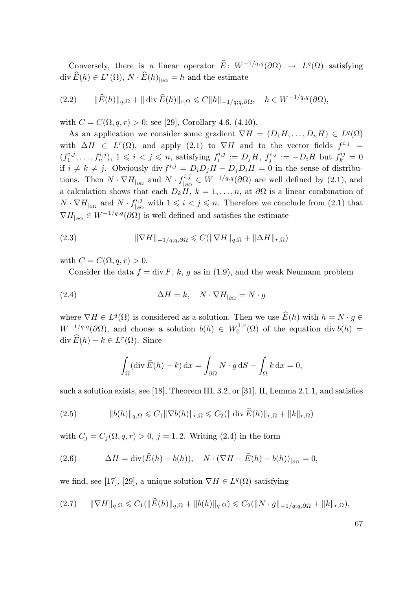Conversely, there is a linear operator  $\widehat{E}: W^{-1/q,q}(\partial \Omega) \to L^q(\Omega)$  satisfying div  $\widehat{E}(h) \in L^r(\Omega), N \cdot \widehat{E}(h)_{|\partial \Omega} = h$  and the estimate

$$
(2.2) \qquad \|\widehat{E}(h)\|_{q,\Omega} + \|\operatorname{div}\widehat{E}(h)\|_{r,\Omega} \leq C\|h\|_{-1/q;q,\partial\Omega}, \quad h \in W^{-1/q,q}(\partial\Omega),
$$

with  $C = C(\Omega, q, r) > 0$ ; see [29], Corollary 4.6, (4.10).

As an application we consider some gradient  $\nabla H = (D_1 H, \dots, D_n H) \in L^q(\Omega)$ with  $\Delta H$  ∈  $L^r(\Omega)$ , and apply (2.1) to  $\nabla H$  and to the vector fields  $f^{i,j}$  =  $(f_1^{i,j},...,f_n^{i,j}), 1 \leqslant i < j \leqslant n$ , satisfying  $f_i^{i,j} := D_j H$ ,  $f_j^{i,j} := -D_i H$  but  $f_k^{ij} = 0$ if  $i \neq k \neq j$ . Obviously div  $f^{i,j} = D_i D_j H - D_j D_i H = 0$  in the sense of distributions. Then  $N \cdot \nabla H_{\vert_{\partial\Omega}}$  and  $N \cdot f_{\vert_{\partial\Sigma}}^{i,j}$  $e^{i,j}$   $\in W^{-1/q,q}(\partial\Omega)$  are well defined by (2.1), and a calculation shows that each  $D_kH$ ,  $k = 1, \ldots, n$ , at  $\partial\Omega$  is a linear combination of  $N\cdot\nabla H_{|_{\partial\Omega}}$  and  $N\cdot f_{|_{\partial\Omega}}^{i,j}$  $\frac{i^{i,j}}{|a\Omega}$  with  $1 \leq i \leq j \leq n$ . Therefore we conclude from  $(2.1)$  that  $\nabla H_{\vert_{\partial\Omega}} \in W^{-1/q,q}(\partial\Omega)$  is well defined and satisfies the estimate

(2.3) 
$$
\|\nabla H\|_{-1/q;q,\partial\Omega} \leqslant C(\|\nabla H\|_{q,\Omega} + \|\Delta H\|_{r,\Omega})
$$

with  $C = C(\Omega, q, r) > 0$ .

Consider the data  $f = \text{div } F$ , k, g as in (1.9), and the weak Neumann problem

(2.4) 
$$
\Delta H = k, \quad N \cdot \nabla H_{|\partial \Omega} = N \cdot g
$$

where  $\nabla H \in L^q(\Omega)$  is considered as a solution. Then we use  $\widetilde{E}(h)$  with  $h = N \cdot g \in$  $W^{-1/q,q}(\partial\Omega)$ , and choose a solution  $b(h) \in W_0^{1,r}(\Omega)$  of the equation div  $b(h)$  = div  $\widehat{E}(h) - k \in L^r(\Omega)$ . Since

$$
\int_{\Omega} (\operatorname{div} \widehat{E}(h) - k) \, dx = \int_{\partial \Omega} N \cdot g \, dS - \int_{\Omega} k \, dx = 0,
$$

such a solution exists, see [18], Theorem III, 3.2, or [31], II, Lemma 2.1.1, and satisfies

(2.5) 
$$
\|b(h)\|_{q,\Omega} \leq C_1 \|\nabla b(h)\|_{r,\Omega} \leq C_2 (\|\text{div }\widehat{E}(h)\|_{r,\Omega} + \|k\|_{r,\Omega})
$$

with  $C_j = C_j(\Omega, q, r) > 0$ ,  $j = 1, 2$ . Writing (2.4) in the form

(2.6) 
$$
\Delta H = \text{div}(\widehat{E}(h) - b(h)), \quad N \cdot (\nabla H - \widehat{E}(h) - b(h))_{|\partial \Omega} = 0,
$$

we find, see [17], [29], a unique solution  $\nabla H \in L^{q}(\Omega)$  satisfying

$$
(2.7) \qquad \|\nabla H\|_{q,\Omega} \leq C_1(\|\widehat{E}(h)\|_{q,\Omega} + \|b(h)\|_{q,\Omega}) \leq C_2(\|N \cdot g\|_{-1/q;q,\partial\Omega} + \|k\|_{r,\Omega}),
$$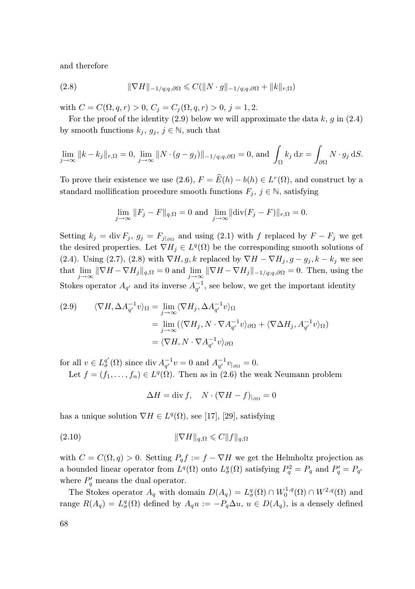and therefore

(2.8) 
$$
\|\nabla H\|_{-1/q;q,\partial\Omega} \leqslant C(\|N \cdot g\|_{-1/q;q,\partial\Omega} + \|k\|_{r,\Omega})
$$

with  $C = C(\Omega, q, r) > 0$ ,  $C_j = C_j(\Omega, q, r) > 0$ ,  $j = 1, 2$ .

For the proof of the identity  $(2.9)$  below we will approximate the data k, g in  $(2.4)$ by smooth functions  $k_j, g_j, j \in \mathbb{N}$ , such that

$$
\lim_{j \to \infty} ||k - k_j||_{r, \Omega} = 0, \lim_{j \to \infty} ||N \cdot (g - g_j)||_{-1/q; q, \partial \Omega} = 0, \text{ and } \int_{\Omega} k_j \, dx = \int_{\partial \Omega} N \cdot g_j \, dS.
$$

To prove their existence we use  $(2.6)$ ,  $F = \hat{E}(h) - b(h) \in L^r(\Omega)$ , and construct by a standard mollification procedure smooth functions  $F_j$ ,  $j \in \mathbb{N}$ , satisfying

$$
\lim_{j \to \infty} ||F_j - F||_{q,\Omega} = 0 \text{ and } \lim_{j \to \infty} ||\text{div}(F_j - F)||_{r,\Omega} = 0.
$$

Setting  $k_j = \text{div } F_j$ ,  $g_j = F_{j|\partial\Omega}$  and using (2.1) with f replaced by  $F - F_j$  we get the desired properties. Let  $\nabla H_j \in L^q(\Omega)$  be the corresponding smooth solutions of (2.4). Using (2.7), (2.8) with  $\nabla H, g, k$  replaced by  $\nabla H - \nabla H_i, g - g_i, k - k_i$  we see that  $\lim_{j\to\infty} \|\nabla H - \nabla H_j\|_{q,\Omega} = 0$  and  $\lim_{j\to\infty} \|\nabla H - \nabla H_j\|_{-1/q;q,\partial\Omega} = 0$ . Then, using the Stokes operator  $A_{q'}$  and its inverse  $A_{q'}^{-1}$ , see below, we get the important identity

(2.9) 
$$
\langle \nabla H, \Delta A_{q'}^{-1} v \rangle_{\Omega} = \lim_{j \to \infty} \langle \nabla H_j, \Delta A_{q'}^{-1} v \rangle_{\Omega}
$$

$$
= \lim_{j \to \infty} (\langle \nabla H_j, N \cdot \nabla A_{q'}^{-1} v \rangle_{\partial \Omega} + \langle \nabla \Delta H_j, A_{q'}^{-1} v \rangle_{\Omega})
$$

$$
= \langle \nabla H, N \cdot \nabla A_{q'}^{-1} v \rangle_{\partial \Omega}
$$

for all  $v \in L^{q'}_{\sigma}(\Omega)$  since div  $A^{-1}_{q'}v = 0$  and  $A^{-1}_{q'}v_{|\partial\Omega} = 0$ .

Let  $f = (f_1, \ldots, f_n) \in L^q(\Omega)$ . Then as in (2.6) the weak Neumann problem

$$
\Delta H = \text{div } f, \quad N \cdot (\nabla H - f)_{|\partial \Omega} = 0
$$

has a unique solution  $\nabla H \in L^q(\Omega)$ , see [17], [29], satisfying

$$
||\nabla H||_{q,\Omega} \leqslant C ||f||_{q,\Omega}
$$

with  $C = C(\Omega, q) > 0$ . Setting  $P_q f := f - \nabla H$  we get the Helmholtz projection as a bounded linear operator from  $L^q(\Omega)$  onto  $L^q_{\sigma}(\Omega)$  satisfying  $P_q^2 = P_q$  and  $P_q' = P_{q'}$ where  $P'_q$  means the dual operator.

The Stokes operator  $A_q$  with domain  $D(A_q) = L^q_\sigma(\Omega) \cap W_0^{1,q}(\Omega) \cap W^{2,q}(\Omega)$  and range  $R(A_q) = L^q_\sigma(\Omega)$  defined by  $A_q u := -P_q \Delta u$ ,  $u \in D(A_q)$ , is a densely defined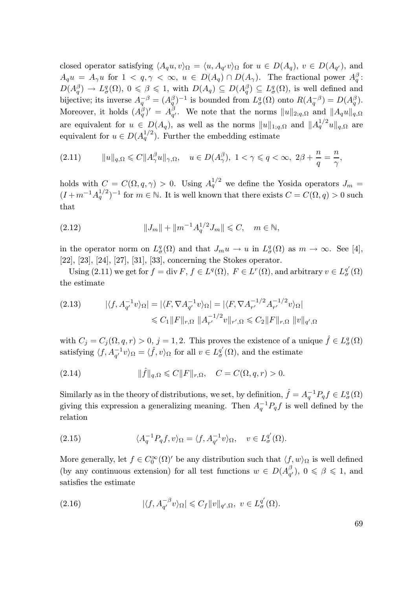closed operator satisfying  $\langle A_q u, v \rangle_{\Omega} = \langle u, A_{q'} v \rangle_{\Omega}$  for  $u \in D(A_q)$ ,  $v \in D(A_{q'})$ , and  $A_q u = A_\gamma u$  for  $1 \le q, \gamma \le \infty, u \in D(A_q) \cap D(A_\gamma)$ . The fractional power  $A_q^{\beta}$ :  $D(A_q^{\beta}) \to L^q_{\sigma}(\Omega), 0 \leq \beta \leq 1$ , with  $D(A_q) \subseteq D(A_q^{\beta}) \subseteq L^q_{\sigma}(\Omega)$ , is well defined and bijective; its inverse  $A_q^{-\beta} = (A_q^{\beta})^{-1}$  is bounded from  $L^q_{\sigma}(\Omega)$  onto  $R(A_q^{-\beta}) = D(A_q^{\beta})$ . Moreover, it holds  $(A_q^{\beta})' = A_{q'}^{\beta}$ . We note that the norms  $||u||_{2;q,\Omega}$  and  $||A_qu||_{q,\Omega}$ are equivalent for  $u \in D(A_q)$ , as well as the norms  $||u||_{1;q,\Omega}$  and  $||A_q^{1/2}u||_{q,\Omega}$  are equivalent for  $u \in D(A_q^{1/2})$ . Further the embedding estimate

(2.11) 
$$
\|u\|_{q,\Omega} \leq C \|A_\gamma^\beta u\|_{\gamma,\Omega}, \quad u \in D(A_\gamma^\beta), \ 1 < \gamma \leq q < \infty, \ 2\beta + \frac{n}{q} = \frac{n}{\gamma},
$$

holds with  $C = C(\Omega, q, \gamma) > 0$ . Using  $A_q^{1/2}$  we define the Yosida operators  $J_m =$  $(I + m^{-1}A_q^{1/2})^{-1}$  for  $m \in \mathbb{N}$ . It is well known that there exists  $C = C(\Omega, q) > 0$  such that

(2.12) 
$$
||J_m|| + ||m^{-1}A_q^{1/2}J_m|| \leq C, \quad m \in \mathbb{N},
$$

in the operator norm on  $L^q_{\sigma}(\Omega)$  and that  $J_m u \to u$  in  $L^q_{\sigma}(\Omega)$  as  $m \to \infty$ . See [4], [22], [23], [24], [27], [31], [33], concerning the Stokes operator.

Using  $(2.11)$  we get for  $f = \text{div } F$ ,  $f \in L^q(\Omega)$ ,  $F \in L^r(\Omega)$ , and arbitrary  $v \in L^{q'}_{{\sigma}}(\Omega)$ the estimate

$$
(2.13) \qquad |\langle f, A_{q'}^{-1} v \rangle_{\Omega}| = |\langle F, \nabla A_{q'}^{-1} v \rangle_{\Omega}| = |\langle F, \nabla A_{r'}^{-1/2} A_{r'}^{-1/2} v \rangle_{\Omega}|
$$
  

$$
\leq C_1 \|F\|_{r, \Omega} \|A_{r'}^{-1/2} v\|_{r', \Omega} \leq C_2 \|F\|_{r, \Omega} \|v\|_{q', \Omega}
$$

with  $C_j = C_j(\Omega, q, r) > 0$ ,  $j = 1, 2$ . This proves the existence of a unique  $\hat{f} \in L^q_{\sigma}(\Omega)$ satisfying  $\langle f, A_{q'}^{-1} v \rangle_{\Omega} = \langle \hat{f}, v \rangle_{\Omega}$  for all  $v \in L^{q'}_{\sigma}(\Omega)$ , and the estimate

(2.14) 
$$
\|\hat{f}\|_{q,\Omega} \leq C \|F\|_{r,\Omega}, \quad C = C(\Omega, q, r) > 0.
$$

Similarly as in the theory of distributions, we set, by definition,  $\hat{f} = A_q^{-1} P_q f \in L^q_{\sigma}(\Omega)$ giving this expression a generalizing meaning. Then  $A_q^{-1}P_qf$  is well defined by the relation

(2.15) 
$$
\langle A_q^{-1} P_q f, v \rangle_{\Omega} = \langle f, A_{q'}^{-1} v \rangle_{\Omega}, \quad v \in L_q^{q'}(\Omega).
$$

More generally, let  $f \in C_0^{\infty}(\Omega)'$  be any distribution such that  $\langle f, w \rangle_{\Omega}$  is well defined (by any continuous extension) for all test functions  $w \in D(A_{q'}^{\beta})$ ,  $0 \leq \beta \leq 1$ , and satisfies the estimate

(2.16) 
$$
|\langle f, A_{q'}^{-\beta} v \rangle_{\Omega}| \leqslant C_f \|v\|_{q',\Omega}, \ v \in L_{\sigma}^{q'}(\Omega).
$$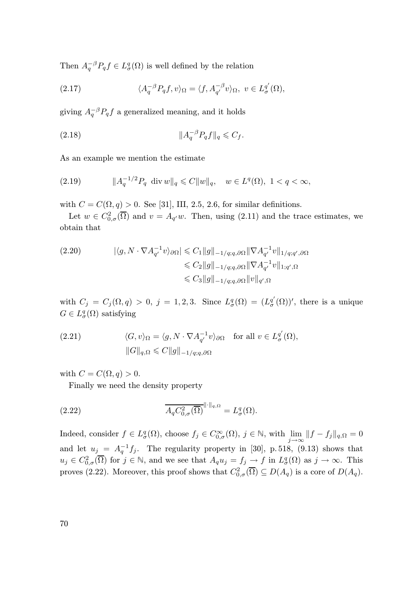Then  $A_q^{-\beta}P_q f \in L^q_{\sigma}(\Omega)$  is well defined by the relation

(2.17) 
$$
\langle A_q^{-\beta} P_q f, v \rangle_{\Omega} = \langle f, A_{q'}^{-\beta} v \rangle_{\Omega}, \ v \in L_q^{q'}(\Omega),
$$

giving  $A_q^{-\beta}P_qf$  a generalized meaning, and it holds

(2.18) kA −β <sup>q</sup> Pqfk<sup>q</sup> 6 C<sup>f</sup> .

As an example we mention the estimate

(2.19) 
$$
\|A_q^{-1/2}P_q \text{ div } w\|_q \leq C \|w\|_q, \quad w \in L^q(\Omega), \ 1 < q < \infty,
$$

with  $C = C(\Omega, q) > 0$ . See [31], III, 2.5, 2.6, for similar definitions.

Let  $w \in C^2_{0,\sigma}(\overline{\Omega})$  and  $v = A_{q'}w$ . Then, using (2.11) and the trace estimates, we obtain that

$$
(2.20) \qquad |\langle g, N \cdot \nabla A_{q'}^{-1} v \rangle_{\partial \Omega}| \leq C_1 \|g\|_{-1/q;q,\partial \Omega} \|\nabla A_{q'}^{-1} v\|_{1/q;q',\partial \Omega}
$$
  

$$
\leq C_2 \|g\|_{-1/q;q,\partial \Omega} \|\nabla A_{q'}^{-1} v\|_{1;q',\Omega}
$$
  

$$
\leq C_3 \|g\|_{-1/q;q,\partial \Omega} \|v\|_{q',\Omega}
$$

with  $C_j = C_j(\Omega, q) > 0$ ,  $j = 1, 2, 3$ . Since  $L^q_\sigma(\Omega) = (L^{q'}_\sigma(\Omega))'$ , there is a unique  $G \in L^q_{\sigma}(\Omega)$  satisfying

(2.21) 
$$
\langle G, v \rangle_{\Omega} = \langle g, N \cdot \nabla A_{q'}^{-1} v \rangle_{\partial \Omega} \text{ for all } v \in L_{\sigma}^{q'}(\Omega),
$$

$$
||G||_{q, \Omega} \leq C ||g||_{-1/q; q, \partial \Omega}
$$

with  $C = C(\Omega, q) > 0$ .

Finally we need the density property

(2.22) 
$$
\overline{A_q C_{0,\sigma}^2(\overline{\Omega})}^{\|\cdot\|_{q,\Omega}} = L^q_{\sigma}(\Omega).
$$

Indeed, consider  $f \in L^q_{\sigma}(\Omega)$ , choose  $f_j \in C^{\infty}_{0,\sigma}(\Omega)$ ,  $j \in \mathbb{N}$ , with  $\lim_{j \to \infty} ||f - f_j||_{q,\Omega} = 0$ and let  $u_j = A_q^{-1} f_j$ . The regularity property in [30], p. 518, (9.13) shows that  $u_j \in C^2_{0,\sigma}(\overline{\Omega})$  for  $j \in \mathbb{N}$ , and we see that  $A_q u_j = f_j \to f$  in  $L^q_\sigma(\Omega)$  as  $j \to \infty$ . This proves (2.22). Moreover, this proof shows that  $C_{0,\sigma}^2(\overline{\Omega}) \subseteq D(A_q)$  is a core of  $D(A_q)$ .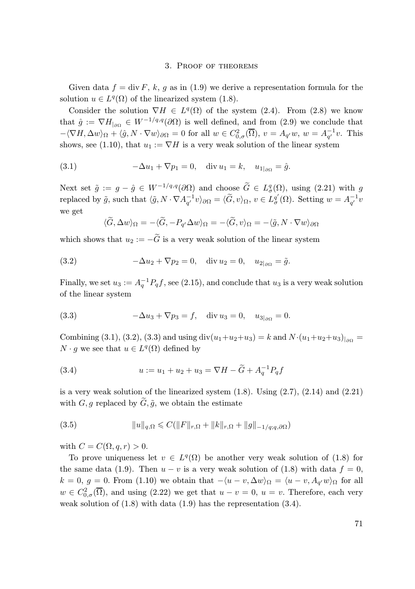#### 3. Proof of theorems

Given data  $f = \text{div } F$ , k, g as in (1.9) we derive a representation formula for the solution  $u \in L^q(\Omega)$  of the linearized system (1.8).

Consider the solution  $\nabla H \in L^q(\Omega)$  of the system (2.4). From (2.8) we know that  $\hat{g} := \nabla H_{\text{loc}} \in W^{-1/q,q}(\partial \Omega)$  is well defined, and from (2.9) we conclude that  $-\langle \nabla H, \Delta w \rangle_{\Omega} + \langle \hat{g}, N \cdot \nabla w \rangle_{\partial \Omega} = 0$  for all  $w \in C^2_{0,\sigma}(\overline{\Omega}), v = A_{q'}w, w = A_{q'}^{-1}v$ . This shows, see (1.10), that  $u_1 := \nabla H$  is a very weak solution of the linear system

(3.1) 
$$
-\Delta u_1 + \nabla p_1 = 0, \quad \text{div } u_1 = k, \quad u_{1|_{\partial \Omega}} = \hat{g}.
$$

Next set  $\tilde{g} := g - \hat{g} \in W^{-1/q,q}(\partial \Omega)$  and choose  $G \in L^q_{\sigma}(\Omega)$ , using (2.21) with g replaced by  $\tilde{g}$ , such that  $\langle \tilde{g}, N \cdot \nabla A_{q'}^{-1} v \rangle_{\partial \Omega} = \langle \tilde{G}, v \rangle_{\Omega}, v \in L_{\sigma}^{q'}(\Omega)$ . Setting  $w = A_{q'}^{-1} v$ we get

$$
\langle \widetilde{G}, \Delta w \rangle_{\Omega} = -\langle \widetilde{G}, -P_{q'} \Delta w \rangle_{\Omega} = -\langle \widetilde{G}, v \rangle_{\Omega} = -\langle \widetilde{g}, N \cdot \nabla w \rangle_{\partial \Omega}
$$

which shows that  $u_2 := -\widetilde{G}$  is a very weak solution of the linear system

(3.2) 
$$
-\Delta u_2 + \nabla p_2 = 0
$$
, div  $u_2 = 0$ ,  $u_{2|_{\partial\Omega}} = \tilde{g}$ .

Finally, we set  $u_3 := A_q^{-1} P_q f$ , see (2.15), and conclude that  $u_3$  is a very weak solution of the linear system

(3.3) 
$$
-\Delta u_3 + \nabla p_3 = f, \quad \text{div } u_3 = 0, \quad u_{3|_{\partial\Omega}} = 0.
$$

Combining (3.1), (3.2), (3.3) and using div $(u_1+u_2+u_3) = k$  and  $N \cdot (u_1+u_2+u_3)|_{\partial\Omega} =$  $N \cdot g$  we see that  $u \in L^q(\Omega)$  defined by

(3.4) 
$$
u := u_1 + u_2 + u_3 = \nabla H - \tilde{G} + A_q^{-1} P_q f
$$

is a very weak solution of the linearized system  $(1.8)$ . Using  $(2.7)$ ,  $(2.14)$  and  $(2.21)$ with  $G, g$  replaced by  $\widetilde{G}, \widetilde{g}$ , we obtain the estimate

(3.5) 
$$
||u||_{q,\Omega} \leq C(||F||_{r,\Omega} + ||k||_{r,\Omega} + ||g||_{-1/q;q,\partial\Omega})
$$

with  $C = C(\Omega, q, r) > 0$ .

To prove uniqueness let  $v \in L^q(\Omega)$  be another very weak solution of (1.8) for the same data (1.9). Then  $u - v$  is a very weak solution of (1.8) with data  $f = 0$ ,  $k = 0, g = 0.$  From (1.10) we obtain that  $-\langle u - v, \Delta w \rangle_{\Omega} = \langle u - v, A_{q'} w \rangle_{\Omega}$  for all  $w \in C^2_{0,\sigma}(\overline{\Omega})$ , and using  $(2.22)$  we get that  $u - v = 0$ ,  $u = v$ . Therefore, each very weak solution of  $(1.8)$  with data  $(1.9)$  has the representation  $(3.4)$ .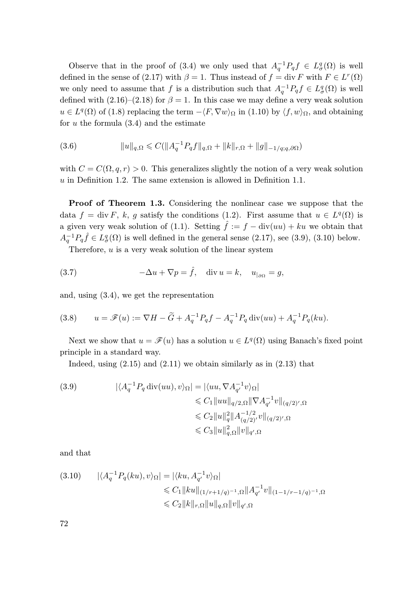Observe that in the proof of (3.4) we only used that  $A_q^{-1}P_qf \in L^q_{\sigma}(\Omega)$  is well defined in the sense of (2.17) with  $\beta = 1$ . Thus instead of  $f = \text{div } F$  with  $F \in L^r(\Omega)$ we only need to assume that f is a distribution such that  $A_q^{-1}P_qf \in L^q_{\sigma}(\Omega)$  is well defined with (2.16)–(2.18) for  $\beta = 1$ . In this case we may define a very weak solution  $u \in L^{q}(\Omega)$  of (1.8) replacing the term  $-\langle F, \nabla w \rangle_{\Omega}$  in (1.10) by  $\langle f, w \rangle_{\Omega}$ , and obtaining for  $u$  the formula  $(3.4)$  and the estimate

$$
(3.6) \t\t ||u||_{q,\Omega} \leqslant C(||A_q^{-1}P_qf||_{q,\Omega} + ||k||_{r,\Omega} + ||g||_{-1/q;q,\partial\Omega})
$$

with  $C = C(\Omega, q, r) > 0$ . This generalizes slightly the notion of a very weak solution  $u$  in Definition 1.2. The same extension is allowed in Definition 1.1.

Proof of Theorem 1.3. Considering the nonlinear case we suppose that the data  $f = \text{div } F$ , k, g satisfy the conditions (1.2). First assume that  $u \in L^q(\Omega)$  is a given very weak solution of (1.1). Setting  $\hat{f} := f - \text{div}(uu) + ku$  we obtain that  $A_q^{-1}P_q\hat{f} \in L^q_{\sigma}(\Omega)$  is well defined in the general sense (2.17), see (3.9), (3.10) below.

Therefore,  $u$  is a very weak solution of the linear system

(3.7) 
$$
-\Delta u + \nabla p = \hat{f}, \quad \text{div } u = k, \quad u_{|_{\partial\Omega}} = g,
$$

and, using (3.4), we get the representation

(3.8) 
$$
u = \mathscr{F}(u) := \nabla H - \tilde{G} + A_q^{-1} P_q f - A_q^{-1} P_q \operatorname{div}(uu) + A_q^{-1} P_q(ku).
$$

Next we show that  $u = \mathscr{F}(u)$  has a solution  $u \in L^q(\Omega)$  using Banach's fixed point principle in a standard way.

Indeed, using  $(2.15)$  and  $(2.11)$  we obtain similarly as in  $(2.13)$  that

(3.9) 
$$
|\langle A_q^{-1} P_q \operatorname{div}(uu), v \rangle_{\Omega}| = |\langle uu, \nabla A_{q'}^{-1} v \rangle_{\Omega}|
$$

$$
\leq C_1 \|uu\|_{q/2, \Omega} \|\nabla A_{q'}^{-1} v\|_{(q/2)',\Omega}
$$

$$
\leq C_2 \|u\|_q^2 \|A_{(q/2)}^{-1/2} v\|_{(q/2)',\Omega}
$$

$$
\leq C_3 \|u\|_{q,\Omega}^2 \|v\|_{q',\Omega}
$$

and that

$$
(3.10) \qquad |\langle A_q^{-1}P_q(ku), v \rangle_{\Omega}| = |\langle ku, A_{q'}^{-1}v \rangle_{\Omega}|
$$
  
\$\leq C\_1 ||ku||\_{(1/r+1/q)^{-1},\Omega} || A\_{q'}^{-1}v||\_{(1-1/r-1/q)^{-1},\Omega} \$  
\$\leq C\_2 ||k||\_{r,\Omega} ||u||\_{q,\Omega} ||v||\_{q',\Omega}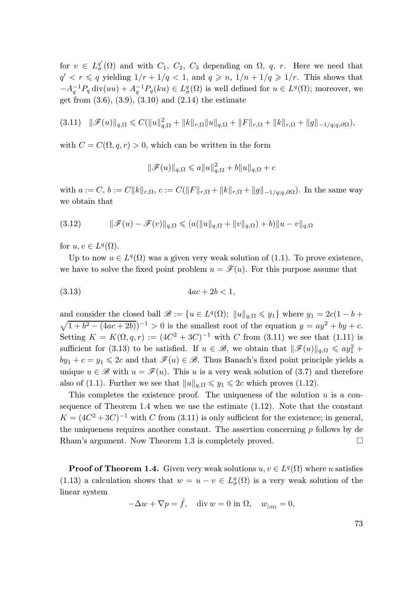for  $v \in L^{\underline{q}'}_{\sigma}(\Omega)$  and with  $C_1$ ,  $C_2$ ,  $C_3$  depending on  $\Omega$ , q, r. Here we need that  $q' < r \leq q$  yielding  $1/r + 1/q < 1$ , and  $q \geq n$ ,  $1/n + 1/q \geq 1/r$ . This shows that  $-A_q^{-1}P_q \operatorname{div}(uu) + A_q^{-1}P_q(ku) \in L^q_\sigma(\Omega)$  is well defined for  $u \in L^q(\Omega)$ ; moreover, we get from  $(3.6), (3.9), (3.10)$  and  $(2.14)$  the estimate

$$
(3.11) \quad \|\mathscr{F}(u)\|_{q,\Omega} \leq C(\|u\|_{q,\Omega}^2 + \|k\|_{r,\Omega}\|u\|_{q,\Omega} + \|F\|_{r,\Omega} + \|k\|_{r,\Omega} + \|g\|_{-1/q;q,\partial\Omega}),
$$

with  $C = C(\Omega, q, r) > 0$ , which can be written in the form

$$
\|\mathscr{F}(u)\|_{q,\Omega} \leqslant a\|u\|_{q,\Omega}^2 + b\|u\|_{q,\Omega} + c
$$

with  $a := C, b := C||k||_{r,\Omega}, c := C(||F||_{r,\Omega} + ||k||_{r,\Omega} + ||g||_{-1/q;q,\partial\Omega}).$  In the same way we obtain that

(3.12) 
$$
\|\mathscr{F}(u)-\mathscr{F}(v)\|_{q,\Omega}\leqslant (a(\|u\|_{q,\Omega}+\|v\|_{q,\Omega})+b)\|u-v\|_{q,\Omega}
$$

for  $u, v \in L^q(\Omega)$ .

Up to now  $u \in L^q(\Omega)$  was a given very weak solution of (1.1). To prove existence, we have to solve the fixed point problem  $u = \mathscr{F}(u)$ . For this purpose assume that

$$
(3.13) \t 4ac + 2b < 1,
$$

and consider the closed ball  $\mathscr{B} := \{u \in L^q(\Omega); ||u||_{q,\Omega} \leqslant y_1\}$  where  $y_1 = 2c(1 - b + 1)$  $\sqrt{1+b^2-(4ac+2b)})^{-1} > 0$  is the smallest root of the equation  $y = ay^2 + by + c$ . Setting  $K = K(\Omega, q, r) := (4C^2 + 3C)^{-1}$  with C from (3.11) we see that (1.11) is sufficient for (3.13) to be satisfied. If  $u \in \mathscr{B}$ , we obtain that  $\|\mathscr{F}(u)\|_{q,\Omega} \leqslant ay_1^2 +$  $by_1 + c = y_1 \leq 2c$  and that  $\mathscr{F}(u) \in \mathscr{B}$ . Thus Banach's fixed point principle yields a unique  $u \in \mathscr{B}$  with  $u = \mathscr{F}(u)$ . This u is a very weak solution of (3.7) and therefore also of (1.1). Further we see that  $||u||_{a,\Omega} \leq y_1 \leq 2c$  which proves (1.12).

This completes the existence proof. The uniqueness of the solution  $u$  is a consequence of Theorem 1.4 when we use the estimate (1.12). Note that the constant  $K = (4C^2 + 3C)^{-1}$  with C from (3.11) is only sufficient for the existence; in general, the uniqueness requires another constant. The assertion concerning  $p$  follows by de Rham's argument. Now Theorem 1.3 is completely proved.

**Proof of Theorem 1.4.** Given very weak solutions  $u, v \in L^q(\Omega)$  where u satisfies (1.13) a calculation shows that  $w = u - v \in L^q_\sigma(\Omega)$  is a very weak solution of the linear system

$$
-\Delta w + \nabla p = \hat{f}, \quad \text{div } w = 0 \text{ in } \Omega, \quad w_{|\partial \Omega} = 0,
$$

| I | ×,            |
|---|---------------|
|   | ٦<br>M.<br>۰. |
|   |               |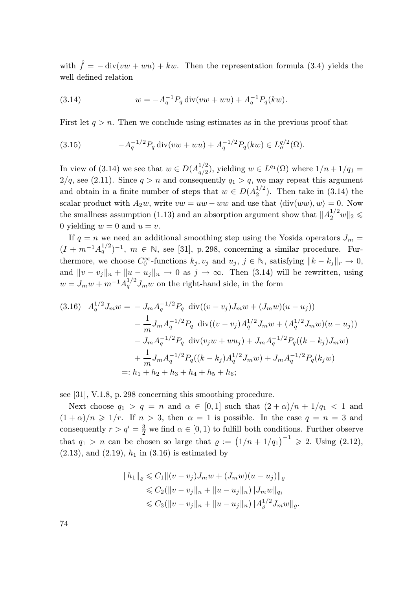with  $\hat{f} = -\text{div}(vw + wu) + kw$ . Then the representation formula (3.4) yields the well defined relation

(3.14) 
$$
w = -A_q^{-1} P_q \operatorname{div}(vw + wu) + A_q^{-1} P_q(kw).
$$

First let  $q > n$ . Then we conclude using estimates as in the previous proof that

(3.15) 
$$
-A_q^{-1/2} P_q \operatorname{div}(vw+wu) + A_q^{-1/2} P_q(kw) \in L^{q/2}(\Omega).
$$

In view of (3.14) we see that  $w \in D(A_{\alpha/2}^{1/2})$  $q_{q/2}^{1/2}$ , yielding  $w \in L^{q_1}(\Omega)$  where  $1/n + 1/q_1 =$  $2/q$ , see (2.11). Since  $q > n$  and consequently  $q_1 > q$ , we may repeat this argument and obtain in a finite number of steps that  $w \in D(A_2^{1/2})$ . Then take in (3.14) the scalar product with  $A_2w$ , write  $vw = uw - ww$  and use that  $\langle \text{div}(ww), w \rangle = 0$ . Now the smallness assumption (1.13) and an absorption argument show that  $||A_2^{1/2}w||_2 \leq$ 0 yielding  $w = 0$  and  $u = v$ .

If  $q = n$  we need an additional smoothing step using the Yosida operators  $J_m =$  $(I + m^{-1}A_q^{1/2})^{-1}$ ,  $m \in \mathbb{N}$ , see [31], p. 298, concerning a similar procedure. Furthermore, we choose  $C_0^{\infty}$ -functions  $k_j, v_j$  and  $u_j, j \in \mathbb{N}$ , satisfying  $||k - k_j||_r \to 0$ , and  $||v - v_j||_n + ||u - u_j||_n \to 0$  as  $j \to \infty$ . Then (3.14) will be rewritten, using  $w = J_m w + m^{-1} A_q^{1/2} J_m w$  on the right-hand side, in the form

$$
(3.16) \quad A_q^{1/2} J_m w = -J_m A_q^{-1/2} P_q \, \operatorname{div}((v - v_j) J_m w + (J_m w)(u - u_j))
$$

$$
- \frac{1}{m} J_m A_q^{-1/2} P_q \, \operatorname{div}((v - v_j) A_q^{1/2} J_m w + (A_q^{1/2} J_m w)(u - u_j))
$$

$$
- J_m A_q^{-1/2} P_q \, \operatorname{div}(v_j w + w u_j) + J_m A_q^{-1/2} P_q((k - k_j) J_m w)
$$

$$
+ \frac{1}{m} J_m A_q^{-1/2} P_q((k - k_j) A_q^{1/2} J_m w) + J_m A_q^{-1/2} P_q(k_j w)
$$

$$
=: h_1 + h_2 + h_3 + h_4 + h_5 + h_6;
$$

see [31], V.1.8, p. 298 concerning this smoothing procedure.

Next choose  $q_1 > q = n$  and  $\alpha \in [0,1]$  such that  $(2+\alpha)/n + 1/q_1 < 1$  and  $(1+\alpha)/n \geq 1/r$ . If  $n > 3$ , then  $\alpha = 1$  is possible. In the case  $q = n = 3$  and consequently  $r > q' = \frac{3}{2}$  we find  $\alpha \in [0, 1)$  to fulfill both conditions. Further observe that  $q_1 > n$  can be chosen so large that  $\varrho := (1/n + 1/q_1)^{-1} \geq 2$ . Using  $(2.12)$ ,  $(2.13)$ , and  $(2.19)$ ,  $h_1$  in  $(3.16)$  is estimated by

$$
||h_1||_{\varrho} \leq C_1 ||(v - v_j)J_m w + (J_m w)(u - u_j)||_{\varrho}
$$
  
\n
$$
\leq C_2 (||v - v_j||_n + ||u - u_j||_n) ||J_m w||_{q_1}
$$
  
\n
$$
\leq C_3 (||v - v_j||_n + ||u - u_j||_n) ||A_{\varrho}^{1/2} J_m w||_{\varrho}.
$$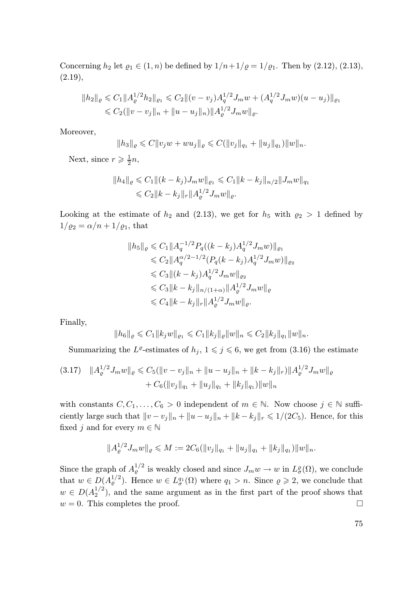Concerning  $h_2$  let  $\varrho_1 \in (1, n)$  be defined by  $1/n + 1/\varrho = 1/\varrho_1$ . Then by  $(2.12), (2.13),$  $(2.19),$ 

$$
||h_2||_{\varrho} \leq C_1 ||A_{\varrho}^{1/2} h_2||_{\varrho_1} \leq C_2 ||(v-v_j)A_q^{1/2} J_m w + (A_q^{1/2} J_m w)(u-u_j)||_{\varrho_1}
$$
  

$$
\leq C_2 (||v-v_j||_n + ||u-u_j||_n) ||A_{\varrho}^{1/2} J_m w||_{\varrho}.
$$

Moreover,

$$
||h_3||_{\varrho}\leqslant C||v_jw+wu_j||_{\varrho}\leqslant C(||v_j||_{q_1}+||u_j||_{q_1})||w||_n.
$$

Next, since  $r \geqslant \frac{1}{2}n$ ,

$$
||h_4||_{\varrho} \leq C_1 ||(k - k_j)J_m w||_{\varrho_1} \leq C_1 ||k - k_j||_{n/2} ||J_m w||_{q_1}
$$
  

$$
\leq C_2 ||k - k_j||_r ||A_{\varrho}^{1/2} J_m w||_{\varrho}.
$$

Looking at the estimate of  $h_2$  and (2.13), we get for  $h_5$  with  $\varrho_2 > 1$  defined by  $1/\varrho_2 = \alpha/n + 1/\varrho_1$ , that

$$
||h_5||_{\varrho} \leq C_1 ||A_q^{-1/2} P_q((k - k_j) A_q^{1/2} J_m w)||_{\varrho_1}
$$
  
\n
$$
\leq C_2 ||A_q^{\alpha/2 - 1/2} (P_q(k - k_j) A_q^{1/2} J_m w)||_{\varrho_2}
$$
  
\n
$$
\leq C_3 ||(k - k_j) A_q^{1/2} J_m w||_{\varrho_2}
$$
  
\n
$$
\leq C_3 ||k - k_j||_{n/(1 + \alpha)} ||A_\varrho^{1/2} J_m w||_{\varrho}
$$
  
\n
$$
\leq C_4 ||k - k_j||_r ||A_\varrho^{1/2} J_m w||_{\varrho}.
$$

Finally,

$$
||h_6||_{\varrho} \leq C_1 ||k_j w||_{\varrho_1} \leq C_1 ||k_j||_{\varrho} ||w||_n \leq C_2 ||k_j||_{q_1} ||w||_n.
$$

Summarizing the L<sup>e</sup>-estimates of  $h_j$ ,  $1 \leq j \leq 6$ , we get from (3.16) the estimate

$$
(3.17) \quad ||A_{\varrho}^{1/2} J_m w||_{\varrho} \leq C_5(||v - v_j||_n + ||u - u_j||_n + ||k - k_j||_r) ||A_{\varrho}^{1/2} J_m w||_{\varrho} + C_6 (||v_j||_{q_1} + ||u_j||_{q_1} + ||k_j||_{q_1}) ||w||_n
$$

with constants  $C, C_1, \ldots, C_6 > 0$  independent of  $m \in \mathbb{N}$ . Now choose  $j \in \mathbb{N}$  sufficiently large such that  $||v - v_j||_n + ||u - u_j||_n + ||k - k_j||_r \le 1/(2C_5)$ . Hence, for this fixed *j* and for every  $m \in \mathbb{N}$ 

$$
||A_{\varrho}^{1/2} J_m w||_{\varrho} \leqslant M := 2C_6(||v_j||_{q_1} + ||u_j||_{q_1} + ||k_j||_{q_1})||w||_n.
$$

Since the graph of  $A_{\varrho}^{1/2}$  is weakly closed and since  $J_m w \to w$  in  $L^{\varrho}_{\sigma}(\Omega)$ , we conclude that  $w \in D(A_{\varrho}^{1/2})$ . Hence  $w \in L^{q_1}(\Omega)$  where  $q_1 > n$ . Since  $\varrho \geqslant 2$ , we conclude that  $w \in D(A_2^{1/2})$ , and the same argument as in the first part of the proof shows that  $w = 0$ . This completes the proof.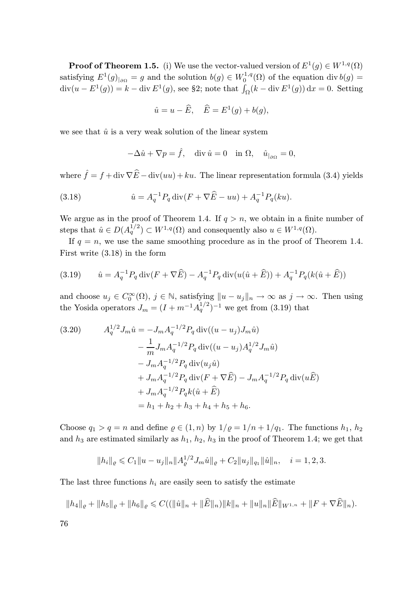**Proof of Theorem 1.5.** (i) We use the vector-valued version of  $E^1(g) \in W^{1,q}(\Omega)$ satisfying  $E^1(g)|_{\partial\Omega} = g$  and the solution  $b(g) \in W_0^{1,q}(\Omega)$  of the equation div  $b(g) =$  $\text{div}(u - E^1(g)) = k - \text{div } E^1(g)$ , see §2; note that  $\int_{\Omega} (k - \text{div } E^1(g)) dx = 0$ . Setting

$$
\hat{u} = u - \widehat{E}, \quad \widehat{E} = E^1(g) + b(g),
$$

we see that  $\hat{u}$  is a very weak solution of the linear system

$$
-\Delta \hat{u} + \nabla p = \hat{f}, \quad \text{div } \hat{u} = 0 \quad \text{in } \Omega, \quad \hat{u}_{|_{\partial\Omega}} = 0,
$$

where  $\hat{f} = f + \text{div } \nabla \hat{E} - \text{div}(uu) + ku$ . The linear representation formula (3.4) yields

(3.18) 
$$
\hat{u} = A_q^{-1} P_q \operatorname{div} (F + \nabla \widehat{E} - uu) + A_q^{-1} P_q(ku).
$$

We argue as in the proof of Theorem 1.4. If  $q > n$ , we obtain in a finite number of steps that  $\hat{u} \in D(A_q^{1/2}) \subset W^{1,q}(\Omega)$  and consequently also  $u \in W^{1,q}(\Omega)$ .

If  $q = n$ , we use the same smoothing procedure as in the proof of Theorem 1.4. First write (3.18) in the form

(3.19) 
$$
\hat{u} = A_q^{-1} P_q \operatorname{div} (F + \nabla \widehat{E}) - A_q^{-1} P_q \operatorname{div} (u(\hat{u} + \widehat{E})) + A_q^{-1} P_q (k(\hat{u} + \widehat{E}))
$$

and choose  $u_j \in C_0^{\infty}(\Omega)$ ,  $j \in \mathbb{N}$ , satisfying  $||u - u_j||_n \to \infty$  as  $j \to \infty$ . Then using the Yosida operators  $J_m = (I + m^{-1}A_q^{1/2})^{-1}$  we get from (3.19) that

(3.20) 
$$
A_q^{1/2} J_m \hat{u} = -J_m A_q^{-1/2} P_q \operatorname{div}((u - u_j) J_m \hat{u})
$$

$$
- \frac{1}{m} J_m A_q^{-1/2} P_q \operatorname{div}((u - u_j) A_q^{1/2} J_m \hat{u})
$$

$$
- J_m A_q^{-1/2} P_q \operatorname{div}(u_j \hat{u})
$$

$$
+ J_m A_q^{-1/2} P_q \operatorname{div}(F + \nabla \hat{E}) - J_m A_q^{-1/2} P_q \operatorname{div}(u \hat{E})
$$

$$
+ J_m A_q^{-1/2} P_q k(\hat{u} + \hat{E})
$$

$$
= h_1 + h_2 + h_3 + h_4 + h_5 + h_6.
$$

Choose  $q_1 > q = n$  and define  $\varrho \in (1, n)$  by  $1/\varrho = 1/n + 1/q_1$ . The functions  $h_1, h_2$ and  $h_3$  are estimated similarly as  $h_1$ ,  $h_2$ ,  $h_3$  in the proof of Theorem 1.4; we get that

$$
||h_i||_{\varrho} \leq C_1 ||u - u_j||_n ||A_{\varrho}^{1/2} J_m \hat{u}||_{\varrho} + C_2 ||u_j||_{q_1} ||\hat{u}||_n, \quad i = 1, 2, 3.
$$

The last three functions  $h_i$  are easily seen to satisfy the estimate

$$
||h_4||_{\varrho} + ||h_5||_{\varrho} + ||h_6||_{\varrho} \leqslant C((||\hat{u}||_n + ||\widehat{E}||_n)||k||_n + ||u||_n||\widehat{E}||_{W^{1,n}} + ||F + \nabla \widehat{E}||_n).
$$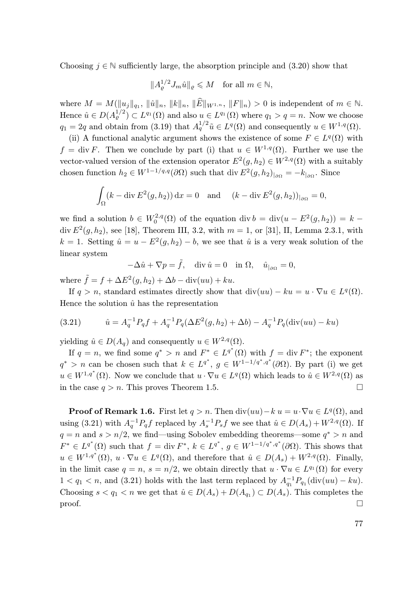Choosing  $j \in \mathbb{N}$  sufficiently large, the absorption principle and (3.20) show that

$$
||A_{\varrho}^{1/2} J_m \hat{u}||_{\varrho} \leqslant M \quad \text{for all } m \in \mathbb{N},
$$

where  $M = M(\|u_j\|_{q_1},\|\hat{u}\|_n,\|\hat{E}\|_{W^{1,n}},\|\hat{F}\|_n) > 0$  is independent of  $m \in \mathbb{N}$ . Hence  $\hat{u} \in D(A_{\varrho}^{1/2}) \subset L^{q_1}(\Omega)$  and also  $u \in L^{q_1}(\Omega)$  where  $q_1 > q = n$ . Now we choose  $q_1 = 2q$  and obtain from (3.19) that  $A_q^{1/2} \tilde{u} \in L^q(\Omega)$  and consequently  $u \in W^{1,q}(\Omega)$ .

(ii) A functional analytic argument shows the existence of some  $F \in L^q(\Omega)$  with  $f = \text{div } F$ . Then we conclude by part (i) that  $u \in W^{1,q}(\Omega)$ . Further we use the vector-valued version of the extension operator  $E^2(g, h_2) \in W^{2,q}(\Omega)$  with a suitably chosen function  $h_2 \in W^{1-1/q,q}(\partial \Omega)$  such that div  $E^2(g, h_2)_{|\partial \Omega} = -k_{|\partial \Omega}$ . Since

$$
\int_{\Omega} (k - \operatorname{div} E^2(g, h_2)) \, dx = 0 \quad \text{and} \quad (k - \operatorname{div} E^2(g, h_2))_{|\partial \Omega} = 0,
$$

we find a solution  $b \in W_0^{2,q}(\Omega)$  of the equation div  $b = \text{div}(u - E^2(g, h_2)) = k$ div  $E^2(g, h_2)$ , see [18], Theorem III, 3.2, with  $m = 1$ , or [31], II, Lemma 2.3.1, with  $k = 1$ . Setting  $\hat{u} = u - E^2(g, h_2) - b$ , we see that  $\hat{u}$  is a very weak solution of the linear system

$$
-\Delta \hat{u} + \nabla p = \tilde{f}, \quad \text{div } \hat{u} = 0 \quad \text{in } \Omega, \quad \hat{u}_{|_{\partial\Omega}} = 0,
$$

where  $\tilde{f} = f + \Delta E^2(g, h_2) + \Delta b - \text{div}(uu) + ku.$ 

If  $q > n$ , standard estimates directly show that  $\text{div}(uu) - ku = u \cdot \nabla u \in L^q(\Omega)$ . Hence the solution  $\hat{u}$  has the representation

(3.21) 
$$
\hat{u} = A_q^{-1} P_q f + A_q^{-1} P_q (\Delta E^2(g, h_2) + \Delta b) - A_q^{-1} P_q (\text{div}(uu) - ku)
$$

yielding  $\hat{u} \in D(A_q)$  and consequently  $u \in W^{2,q}(\Omega)$ .

If  $q = n$ , we find some  $q^* > n$  and  $F^* \in L^{q^*}(\Omega)$  with  $f = \text{div } F^*$ ; the exponent  $q^* > n$  can be chosen such that  $k \in L^{q^*}, g \in W^{1-1/q^*, q^*}(\partial \Omega)$ . By part (i) we get  $u \in W^{1,q^*}(\Omega)$ . Now we conclude that  $u \cdot \nabla u \in L^q(\Omega)$  which leads to  $\hat{u} \in W^{2,q}(\Omega)$  as in the case  $q > n$ . This proves Theorem 1.5.

**Proof of Remark 1.6.** First let  $q > n$ . Then  $\text{div}(uu) - k u = u \cdot \nabla u \in L^q(\Omega)$ , and using (3.21) with  $A_q^{-1}P_qf$  replaced by  $A_s^{-1}P_sf$  we see that  $\hat{u} \in D(A_s) + W^{2,q}(\Omega)$ . If  $q = n$  and  $s > n/2$ , we find—using Sobolev embedding theorems—some  $q^* > n$  and  $F^* \in L^{q^*}(\Omega)$  such that  $f = \text{div } F^*$ ,  $k \in L^{q^*}$ ,  $g \in W^{1-1/q^*, q^*}(\partial \Omega)$ . This shows that  $u \in W^{1,q^*}(\Omega)$ ,  $u \cdot \nabla u \in L^q(\Omega)$ , and therefore that  $\hat{u} \in D(A_s) + W^{2,q}(\Omega)$ . Finally, in the limit case  $q = n$ ,  $s = n/2$ , we obtain directly that  $u \cdot \nabla u \in L^{q_1}(\Omega)$  for every  $1 < q_1 < n$ , and (3.21) holds with the last term replaced by  $A_{q_1}^{-1}P_{q_1}(\text{div}(uu) - ku)$ . Choosing  $s < q_1 < n$  we get that  $\hat{u} \in D(A_s) + D(A_{q_1}) \subset D(A_s)$ . This completes the  $\Box$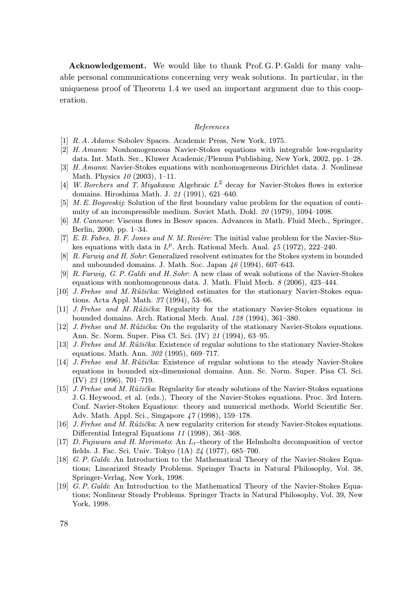Acknowledgement. We would like to thank Prof. G. P. Galdi for many valuable personal communications concerning very weak solutions. In particular, in the uniqueness proof of Theorem 1.4 we used an important argument due to this cooperation.

#### References

- [1] R. A. Adams: Sobolev Spaces. Academic Press, New York, 1975.
- [2] H. Amann: Nonhomogeneous Navier-Stokes equations with integrable low-regularity data. Int. Math. Ser., Kluwer Academic/Plenum Publishing, New York, 2002, pp. 1–28.
- [3] H. Amann: Navier-Stokes equations with nonhomogeneous Dirichlet data. J. Nonlinear Math. Physics 10 (2003), 1–11.
- [4] W. Borchers and T. Miyakawa: Algebraic  $L^2$  decay for Navier-Stokes flows in exterior domains. Hiroshima Math. J. 21 (1991), 621–640.
- [5] M. E. Bogovskij: Solution of the first boundary value problem for the equation of continuity of an incompressible medium. Soviet Math. Dokl. 20 (1979), 1094–1098.
- [6] M. Cannone: Viscous flows in Besov spaces. Advances in Math. Fluid Mech., Springer, Berlin, 2000, pp. 1–34.
- [7] E. B. Fabes, B. F. Jones and N. M. Rivière: The initial value problem for the Navier-Stokes equations with data in  $L^p$ . Arch. Rational Mech. Anal.  $45$  (1972), 222-240.
- [8] R. Farwig and H. Sohr: Generalized resolvent estimates for the Stokes system in bounded and unbounded domains. J. Math. Soc. Japan  $46$  (1994), 607–643.
- [9] R. Farwig, G. P. Galdi and H. Sohr: A new class of weak solutions of the Navier-Stokes equations with nonhomogeneous data. J. Math. Fluid Mech. 8 (2006), 423–444.
- [10] J. Frehse and M. Růžička: Weighted estimates for the stationary Navier-Stokes equations. Acta Appl. Math. 37 (1994), 53–66.
- [11] J. Frehse and M. Růžička: Regularity for the stationary Navier-Stokes equations in bounded domains. Arch. Rational Mech. Anal. 128 (1994), 361–380.
- [12] J. Frehse and M. Růžička: On the regularity of the stationary Navier-Stokes equations. Ann. Sc. Norm. Super. Pisa Cl. Sci. (IV) 21 (1994), 63–95.
- [13] J. Frehse and M. Růžička: Existence of regular solutions to the stationary Navier-Stokes equations. Math. Ann. 302 (1995), 669–717.
- [14] J. Frehse and M. Růžička: Existence of regular solutions to the steady Navier-Stokes equations in bounded six-dimensional domains. Ann. Sc. Norm. Super. Pisa Cl. Sci. (IV) 23 (1996), 701–719.
- [15] J. Frehse and M. Růžička: Regularity for steady solutions of the Navier-Stokes equations J. G. Heywood, et al. (eds.), Theory of the Navier-Stokes equations. Proc. 3rd Intern. Conf. Navier-Stokes Equations: theory and numerical methods. World Scientific Ser. Adv. Math. Appl. Sci., Singapore 47 (1998), 159–178.
- [16] J. Frehse and M. Růžička: A new regularity criterion for steady Navier-Stokes equations. Differential Integral Equations 11 (1998), 361–368.
- [17] D. Fujiwara and H. Morimoto: An  $L<sub>r</sub>$ -theory of the Helmholtz decomposition of vector fields. J. Fac. Sci. Univ. Tokyo (1A) 24 (1977), 685–700.
- [18] G. P. Galdi: An Introduction to the Mathematical Theory of the Navier-Stokes Equations; Linearized Steady Problems. Springer Tracts in Natural Philosophy, Vol. 38, Springer-Verlag, New York, 1998.
- [19] G. P. Galdi: An Introduction to the Mathematical Theory of the Navier-Stokes Equations; Nonlinear Steady Problems. Springer Tracts in Natural Philosophy, Vol. 39, New York, 1998.